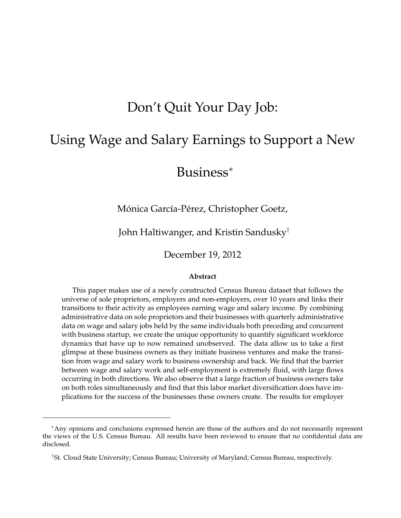# Don't Quit Your Day Job:

# Using Wage and Salary Earnings to Support a New

# Business<sup>∗</sup>

Mónica García-Pérez, Christopher Goetz,

John Haltiwanger, and Kristin Sandusky†

December 19, 2012

#### **Abstract**

This paper makes use of a newly constructed Census Bureau dataset that follows the universe of sole proprietors, employers and non-employers, over 10 years and links their transitions to their activity as employees earning wage and salary income. By combining administrative data on sole proprietors and their businesses with quarterly administrative data on wage and salary jobs held by the same individuals both preceding and concurrent with business startup, we create the unique opportunity to quantify significant workforce dynamics that have up to now remained unobserved. The data allow us to take a first glimpse at these business owners as they initiate business ventures and make the transition from wage and salary work to business ownership and back. We find that the barrier between wage and salary work and self-employment is extremely fluid, with large flows occurring in both directions. We also observe that a large fraction of business owners take on both roles simultaneously and find that this labor market diversification does have implications for the success of the businesses these owners create. The results for employer

<sup>∗</sup>Any opinions and conclusions expressed herein are those of the authors and do not necessarily represent the views of the U.S. Census Bureau. All results have been reviewed to ensure that no confidential data are disclosed.

<sup>†</sup>St. Cloud State University; Census Bureau; University of Maryland; Census Bureau, respectively.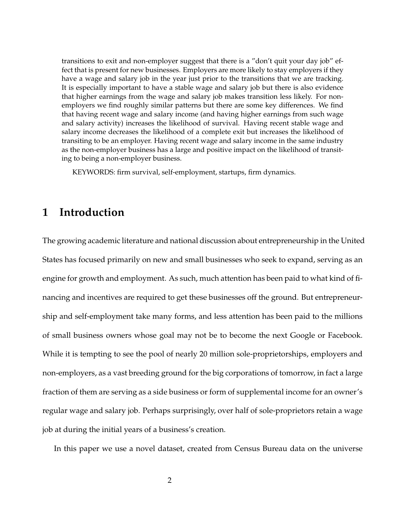transitions to exit and non-employer suggest that there is a "don't quit your day job" effect that is present for new businesses. Employers are more likely to stay employers if they have a wage and salary job in the year just prior to the transitions that we are tracking. It is especially important to have a stable wage and salary job but there is also evidence that higher earnings from the wage and salary job makes transition less likely. For nonemployers we find roughly similar patterns but there are some key differences. We find that having recent wage and salary income (and having higher earnings from such wage and salary activity) increases the likelihood of survival. Having recent stable wage and salary income decreases the likelihood of a complete exit but increases the likelihood of transiting to be an employer. Having recent wage and salary income in the same industry as the non-employer business has a large and positive impact on the likelihood of transiting to being a non-employer business.

KEYWORDS: firm survival, self-employment, startups, firm dynamics.

## **1 Introduction**

The growing academic literature and national discussion about entrepreneurship in the United States has focused primarily on new and small businesses who seek to expand, serving as an engine for growth and employment. As such, much attention has been paid to what kind of financing and incentives are required to get these businesses off the ground. But entrepreneurship and self-employment take many forms, and less attention has been paid to the millions of small business owners whose goal may not be to become the next Google or Facebook. While it is tempting to see the pool of nearly 20 million sole-proprietorships, employers and non-employers, as a vast breeding ground for the big corporations of tomorrow, in fact a large fraction of them are serving as a side business or form of supplemental income for an owner's regular wage and salary job. Perhaps surprisingly, over half of sole-proprietors retain a wage job at during the initial years of a business's creation.

In this paper we use a novel dataset, created from Census Bureau data on the universe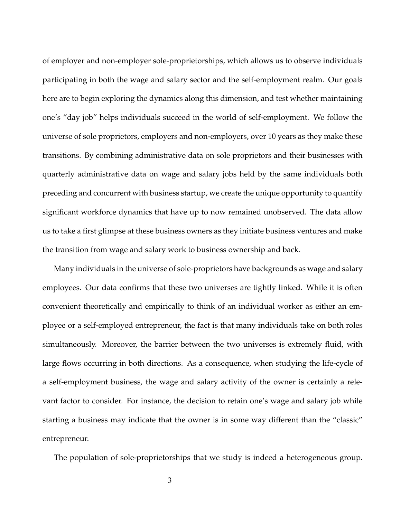of employer and non-employer sole-proprietorships, which allows us to observe individuals participating in both the wage and salary sector and the self-employment realm. Our goals here are to begin exploring the dynamics along this dimension, and test whether maintaining one's "day job" helps individuals succeed in the world of self-employment. We follow the universe of sole proprietors, employers and non-employers, over 10 years as they make these transitions. By combining administrative data on sole proprietors and their businesses with quarterly administrative data on wage and salary jobs held by the same individuals both preceding and concurrent with business startup, we create the unique opportunity to quantify significant workforce dynamics that have up to now remained unobserved. The data allow us to take a first glimpse at these business owners as they initiate business ventures and make the transition from wage and salary work to business ownership and back.

Many individuals in the universe of sole-proprietors have backgrounds as wage and salary employees. Our data confirms that these two universes are tightly linked. While it is often convenient theoretically and empirically to think of an individual worker as either an employee or a self-employed entrepreneur, the fact is that many individuals take on both roles simultaneously. Moreover, the barrier between the two universes is extremely fluid, with large flows occurring in both directions. As a consequence, when studying the life-cycle of a self-employment business, the wage and salary activity of the owner is certainly a relevant factor to consider. For instance, the decision to retain one's wage and salary job while starting a business may indicate that the owner is in some way different than the "classic" entrepreneur.

The population of sole-proprietorships that we study is indeed a heterogeneous group.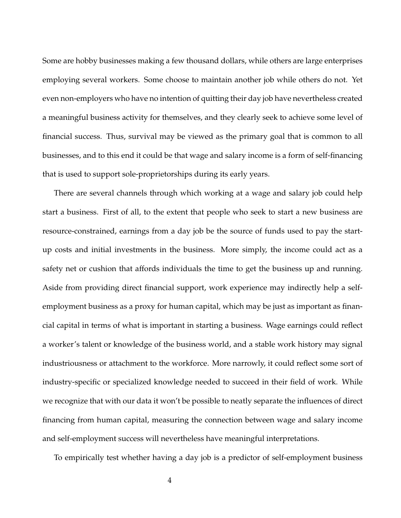Some are hobby businesses making a few thousand dollars, while others are large enterprises employing several workers. Some choose to maintain another job while others do not. Yet even non-employers who have no intention of quitting their day job have nevertheless created a meaningful business activity for themselves, and they clearly seek to achieve some level of financial success. Thus, survival may be viewed as the primary goal that is common to all businesses, and to this end it could be that wage and salary income is a form of self-financing that is used to support sole-proprietorships during its early years.

There are several channels through which working at a wage and salary job could help start a business. First of all, to the extent that people who seek to start a new business are resource-constrained, earnings from a day job be the source of funds used to pay the startup costs and initial investments in the business. More simply, the income could act as a safety net or cushion that affords individuals the time to get the business up and running. Aside from providing direct financial support, work experience may indirectly help a selfemployment business as a proxy for human capital, which may be just as important as financial capital in terms of what is important in starting a business. Wage earnings could reflect a worker's talent or knowledge of the business world, and a stable work history may signal industriousness or attachment to the workforce. More narrowly, it could reflect some sort of industry-specific or specialized knowledge needed to succeed in their field of work. While we recognize that with our data it won't be possible to neatly separate the influences of direct financing from human capital, measuring the connection between wage and salary income and self-employment success will nevertheless have meaningful interpretations.

To empirically test whether having a day job is a predictor of self-employment business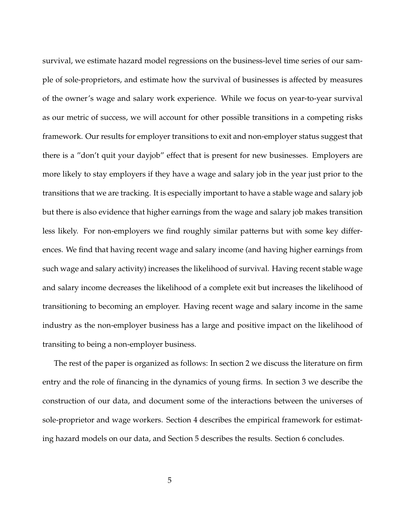survival, we estimate hazard model regressions on the business-level time series of our sample of sole-proprietors, and estimate how the survival of businesses is affected by measures of the owner's wage and salary work experience. While we focus on year-to-year survival as our metric of success, we will account for other possible transitions in a competing risks framework. Our results for employer transitions to exit and non-employer status suggest that there is a "don't quit your dayjob" effect that is present for new businesses. Employers are more likely to stay employers if they have a wage and salary job in the year just prior to the transitions that we are tracking. It is especially important to have a stable wage and salary job but there is also evidence that higher earnings from the wage and salary job makes transition less likely. For non-employers we find roughly similar patterns but with some key differences. We find that having recent wage and salary income (and having higher earnings from such wage and salary activity) increases the likelihood of survival. Having recent stable wage and salary income decreases the likelihood of a complete exit but increases the likelihood of transitioning to becoming an employer. Having recent wage and salary income in the same industry as the non-employer business has a large and positive impact on the likelihood of transiting to being a non-employer business.

The rest of the paper is organized as follows: In section 2 we discuss the literature on firm entry and the role of financing in the dynamics of young firms. In section 3 we describe the construction of our data, and document some of the interactions between the universes of sole-proprietor and wage workers. Section 4 describes the empirical framework for estimating hazard models on our data, and Section 5 describes the results. Section 6 concludes.

5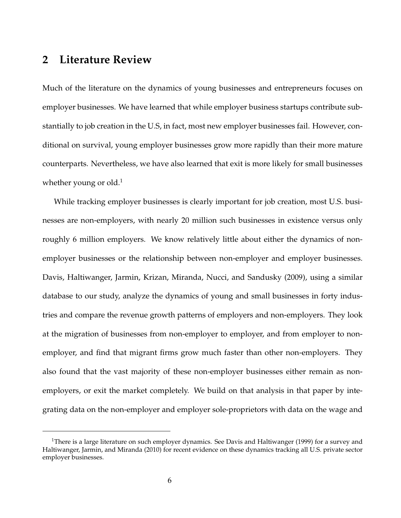## **2 Literature Review**

Much of the literature on the dynamics of young businesses and entrepreneurs focuses on employer businesses. We have learned that while employer business startups contribute substantially to job creation in the U.S, in fact, most new employer businesses fail. However, conditional on survival, young employer businesses grow more rapidly than their more mature counterparts. Nevertheless, we have also learned that exit is more likely for small businesses whether young or old. $<sup>1</sup>$ </sup>

While tracking employer businesses is clearly important for job creation, most U.S. businesses are non-employers, with nearly 20 million such businesses in existence versus only roughly 6 million employers. We know relatively little about either the dynamics of nonemployer businesses or the relationship between non-employer and employer businesses. Davis, Haltiwanger, Jarmin, Krizan, Miranda, Nucci, and Sandusky (2009), using a similar database to our study, analyze the dynamics of young and small businesses in forty industries and compare the revenue growth patterns of employers and non-employers. They look at the migration of businesses from non-employer to employer, and from employer to nonemployer, and find that migrant firms grow much faster than other non-employers. They also found that the vast majority of these non-employer businesses either remain as nonemployers, or exit the market completely. We build on that analysis in that paper by integrating data on the non-employer and employer sole-proprietors with data on the wage and

<sup>&</sup>lt;sup>1</sup>There is a large literature on such employer dynamics. See Davis and Haltiwanger (1999) for a survey and Haltiwanger, Jarmin, and Miranda (2010) for recent evidence on these dynamics tracking all U.S. private sector employer businesses.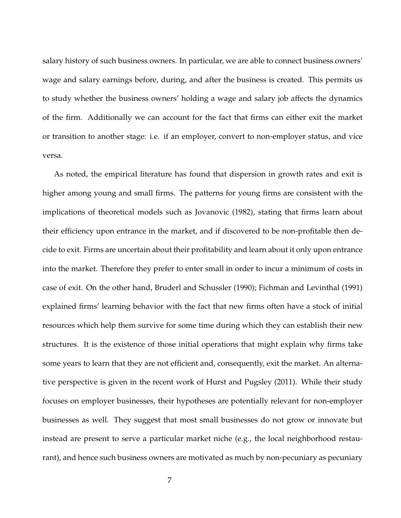salary history of such business owners. In particular, we are able to connect business owners' wage and salary earnings before, during, and after the business is created. This permits us to study whether the business owners' holding a wage and salary job affects the dynamics of the firm. Additionally we can account for the fact that firms can either exit the market or transition to another stage: i.e. if an employer, convert to non-employer status, and vice versa.

As noted, the empirical literature has found that dispersion in growth rates and exit is higher among young and small firms. The patterns for young firms are consistent with the implications of theoretical models such as Jovanovic (1982), stating that firms learn about their efficiency upon entrance in the market, and if discovered to be non-profitable then decide to exit. Firms are uncertain about their profitability and learn about it only upon entrance into the market. Therefore they prefer to enter small in order to incur a minimum of costs in case of exit. On the other hand, Bruderl and Schussler (1990); Fichman and Levinthal (1991) explained firms' learning behavior with the fact that new firms often have a stock of initial resources which help them survive for some time during which they can establish their new structures. It is the existence of those initial operations that might explain why firms take some years to learn that they are not efficient and, consequently, exit the market. An alternative perspective is given in the recent work of Hurst and Pugsley (2011). While their study focuses on employer businesses, their hypotheses are potentially relevant for non-employer businesses as well. They suggest that most small businesses do not grow or innovate but instead are present to serve a particular market niche (e.g., the local neighborhood restaurant), and hence such business owners are motivated as much by non-pecuniary as pecuniary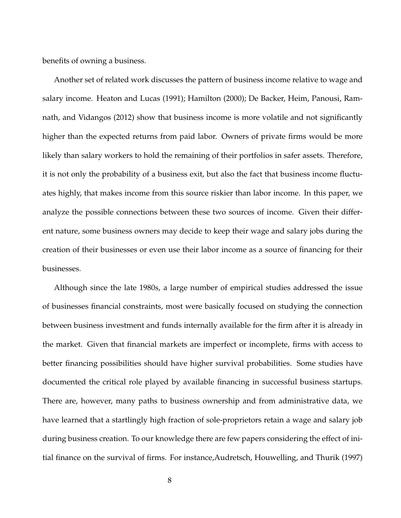benefits of owning a business.

Another set of related work discusses the pattern of business income relative to wage and salary income. Heaton and Lucas (1991); Hamilton (2000); De Backer, Heim, Panousi, Ramnath, and Vidangos (2012) show that business income is more volatile and not significantly higher than the expected returns from paid labor. Owners of private firms would be more likely than salary workers to hold the remaining of their portfolios in safer assets. Therefore, it is not only the probability of a business exit, but also the fact that business income fluctuates highly, that makes income from this source riskier than labor income. In this paper, we analyze the possible connections between these two sources of income. Given their different nature, some business owners may decide to keep their wage and salary jobs during the creation of their businesses or even use their labor income as a source of financing for their businesses.

Although since the late 1980s, a large number of empirical studies addressed the issue of businesses financial constraints, most were basically focused on studying the connection between business investment and funds internally available for the firm after it is already in the market. Given that financial markets are imperfect or incomplete, firms with access to better financing possibilities should have higher survival probabilities. Some studies have documented the critical role played by available financing in successful business startups. There are, however, many paths to business ownership and from administrative data, we have learned that a startlingly high fraction of sole-proprietors retain a wage and salary job during business creation. To our knowledge there are few papers considering the effect of initial finance on the survival of firms. For instance,Audretsch, Houwelling, and Thurik (1997)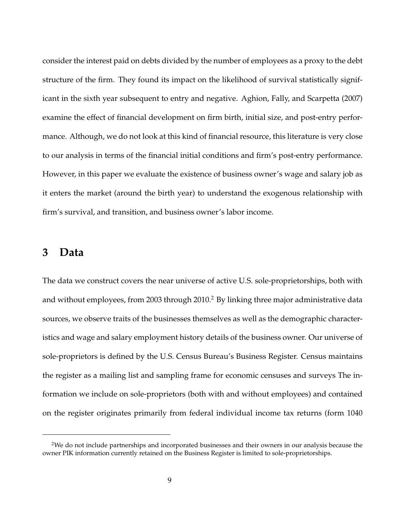consider the interest paid on debts divided by the number of employees as a proxy to the debt structure of the firm. They found its impact on the likelihood of survival statistically significant in the sixth year subsequent to entry and negative. Aghion, Fally, and Scarpetta (2007) examine the effect of financial development on firm birth, initial size, and post-entry performance. Although, we do not look at this kind of financial resource, this literature is very close to our analysis in terms of the financial initial conditions and firm's post-entry performance. However, in this paper we evaluate the existence of business owner's wage and salary job as it enters the market (around the birth year) to understand the exogenous relationship with firm's survival, and transition, and business owner's labor income.

### **3 Data**

The data we construct covers the near universe of active U.S. sole-proprietorships, both with and without employees, from 2003 through 2010.<sup>2</sup> By linking three major administrative data sources, we observe traits of the businesses themselves as well as the demographic characteristics and wage and salary employment history details of the business owner. Our universe of sole-proprietors is defined by the U.S. Census Bureau's Business Register. Census maintains the register as a mailing list and sampling frame for economic censuses and surveys The information we include on sole-proprietors (both with and without employees) and contained on the register originates primarily from federal individual income tax returns (form 1040

<sup>&</sup>lt;sup>2</sup>We do not include partnerships and incorporated businesses and their owners in our analysis because the owner PIK information currently retained on the Business Register is limited to sole-proprietorships.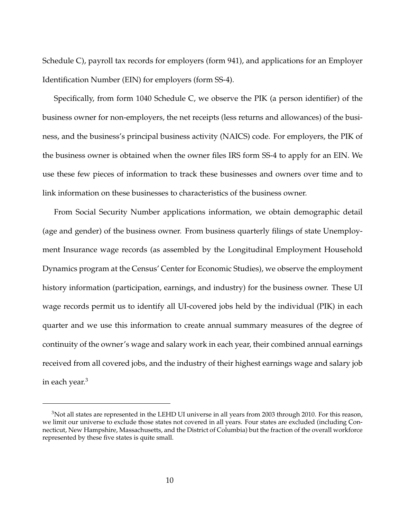Schedule C), payroll tax records for employers (form 941), and applications for an Employer Identification Number (EIN) for employers (form SS-4).

Specifically, from form 1040 Schedule C, we observe the PIK (a person identifier) of the business owner for non-employers, the net receipts (less returns and allowances) of the business, and the business's principal business activity (NAICS) code. For employers, the PIK of the business owner is obtained when the owner files IRS form SS-4 to apply for an EIN. We use these few pieces of information to track these businesses and owners over time and to link information on these businesses to characteristics of the business owner.

From Social Security Number applications information, we obtain demographic detail (age and gender) of the business owner. From business quarterly filings of state Unemployment Insurance wage records (as assembled by the Longitudinal Employment Household Dynamics program at the Census' Center for Economic Studies), we observe the employment history information (participation, earnings, and industry) for the business owner. These UI wage records permit us to identify all UI-covered jobs held by the individual (PIK) in each quarter and we use this information to create annual summary measures of the degree of continuity of the owner's wage and salary work in each year, their combined annual earnings received from all covered jobs, and the industry of their highest earnings wage and salary job in each year.<sup>3</sup>

<sup>&</sup>lt;sup>3</sup>Not all states are represented in the LEHD UI universe in all years from 2003 through 2010. For this reason, we limit our universe to exclude those states not covered in all years. Four states are excluded (including Connecticut, New Hampshire, Massachusetts, and the District of Columbia) but the fraction of the overall workforce represented by these five states is quite small.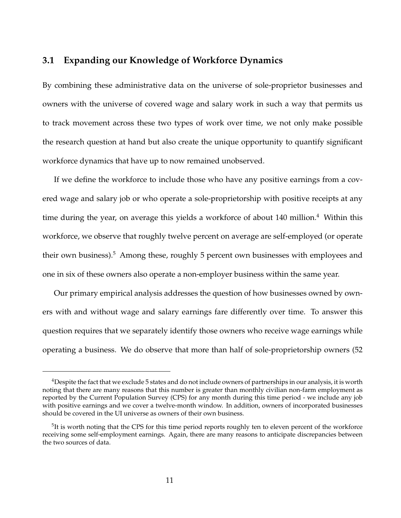### **3.1 Expanding our Knowledge of Workforce Dynamics**

By combining these administrative data on the universe of sole-proprietor businesses and owners with the universe of covered wage and salary work in such a way that permits us to track movement across these two types of work over time, we not only make possible the research question at hand but also create the unique opportunity to quantify significant workforce dynamics that have up to now remained unobserved.

If we define the workforce to include those who have any positive earnings from a covered wage and salary job or who operate a sole-proprietorship with positive receipts at any time during the year, on average this yields a workforce of about 140 million.<sup>4</sup> Within this workforce, we observe that roughly twelve percent on average are self-employed (or operate their own business).<sup>5</sup> Among these, roughly 5 percent own businesses with employees and one in six of these owners also operate a non-employer business within the same year.

Our primary empirical analysis addresses the question of how businesses owned by owners with and without wage and salary earnings fare differently over time. To answer this question requires that we separately identify those owners who receive wage earnings while operating a business. We do observe that more than half of sole-proprietorship owners (52

<sup>&</sup>lt;sup>4</sup>Despite the fact that we exclude 5 states and do not include owners of partnerships in our analysis, it is worth noting that there are many reasons that this number is greater than monthly civilian non-farm employment as reported by the Current Population Survey (CPS) for any month during this time period - we include any job with positive earnings and we cover a twelve-month window. In addition, owners of incorporated businesses should be covered in the UI universe as owners of their own business.

<sup>&</sup>lt;sup>5</sup>It is worth noting that the CPS for this time period reports roughly ten to eleven percent of the workforce receiving some self-employment earnings. Again, there are many reasons to anticipate discrepancies between the two sources of data.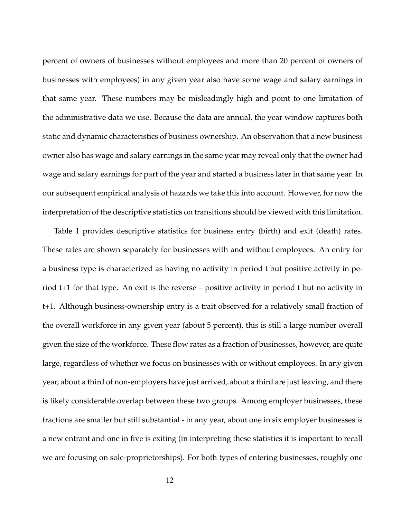percent of owners of businesses without employees and more than 20 percent of owners of businesses with employees) in any given year also have some wage and salary earnings in that same year. These numbers may be misleadingly high and point to one limitation of the administrative data we use. Because the data are annual, the year window captures both static and dynamic characteristics of business ownership. An observation that a new business owner also has wage and salary earnings in the same year may reveal only that the owner had wage and salary earnings for part of the year and started a business later in that same year. In our subsequent empirical analysis of hazards we take this into account. However, for now the interpretation of the descriptive statistics on transitions should be viewed with this limitation.

Table 1 provides descriptive statistics for business entry (birth) and exit (death) rates. These rates are shown separately for businesses with and without employees. An entry for a business type is characterized as having no activity in period t but positive activity in period t+1 for that type. An exit is the reverse – positive activity in period t but no activity in t+1. Although business-ownership entry is a trait observed for a relatively small fraction of the overall workforce in any given year (about 5 percent), this is still a large number overall given the size of the workforce. These flow rates as a fraction of businesses, however, are quite large, regardless of whether we focus on businesses with or without employees. In any given year, about a third of non-employers have just arrived, about a third are just leaving, and there is likely considerable overlap between these two groups. Among employer businesses, these fractions are smaller but still substantial - in any year, about one in six employer businesses is a new entrant and one in five is exiting (in interpreting these statistics it is important to recall we are focusing on sole-proprietorships). For both types of entering businesses, roughly one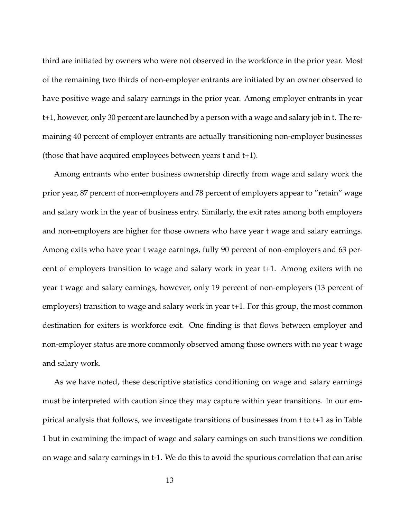third are initiated by owners who were not observed in the workforce in the prior year. Most of the remaining two thirds of non-employer entrants are initiated by an owner observed to have positive wage and salary earnings in the prior year. Among employer entrants in year t+1, however, only 30 percent are launched by a person with a wage and salary job in t. The remaining 40 percent of employer entrants are actually transitioning non-employer businesses (those that have acquired employees between years t and t+1).

Among entrants who enter business ownership directly from wage and salary work the prior year, 87 percent of non-employers and 78 percent of employers appear to "retain" wage and salary work in the year of business entry. Similarly, the exit rates among both employers and non-employers are higher for those owners who have year t wage and salary earnings. Among exits who have year t wage earnings, fully 90 percent of non-employers and 63 percent of employers transition to wage and salary work in year t+1. Among exiters with no year t wage and salary earnings, however, only 19 percent of non-employers (13 percent of employers) transition to wage and salary work in year t+1. For this group, the most common destination for exiters is workforce exit. One finding is that flows between employer and non-employer status are more commonly observed among those owners with no year t wage and salary work.

As we have noted, these descriptive statistics conditioning on wage and salary earnings must be interpreted with caution since they may capture within year transitions. In our empirical analysis that follows, we investigate transitions of businesses from t to t+1 as in Table 1 but in examining the impact of wage and salary earnings on such transitions we condition on wage and salary earnings in t-1. We do this to avoid the spurious correlation that can arise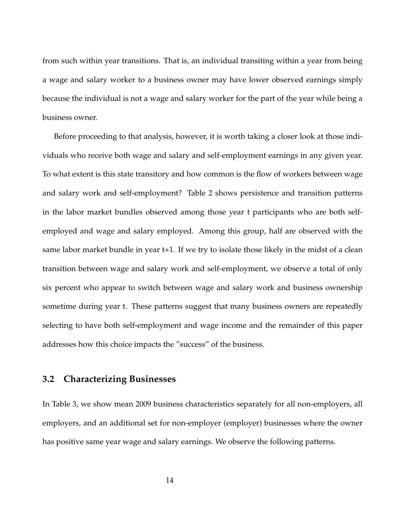from such within year transitions. That is, an individual transiting within a year from being a wage and salary worker to a business owner may have lower observed earnings simply because the individual is not a wage and salary worker for the part of the year while being a business owner.

Before proceeding to that analysis, however, it is worth taking a closer look at those individuals who receive both wage and salary and self-employment earnings in any given year. To what extent is this state transitory and how common is the flow of workers between wage and salary work and self-employment? Table 2 shows persistence and transition patterns in the labor market bundles observed among those year t participants who are both selfemployed and wage and salary employed. Among this group, half are observed with the same labor market bundle in year t+1. If we try to isolate those likely in the midst of a clean transition between wage and salary work and self-employment, we observe a total of only six percent who appear to switch between wage and salary work and business ownership sometime during year t. These patterns suggest that many business owners are repeatedly selecting to have both self-employment and wage income and the remainder of this paper addresses how this choice impacts the "success" of the business.

### **3.2 Characterizing Businesses**

In Table 3, we show mean 2009 business characteristics separately for all non-employers, all employers, and an additional set for non-employer (employer) businesses where the owner has positive same year wage and salary earnings. We observe the following patterns.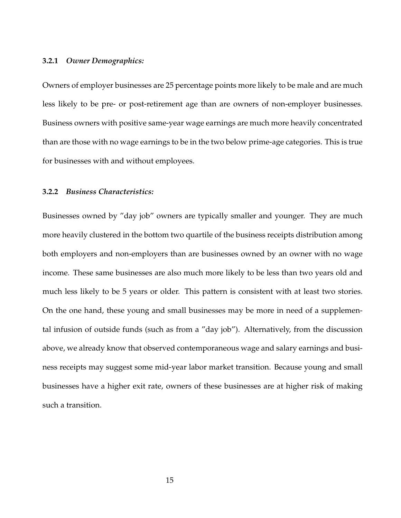#### **3.2.1** *Owner Demographics:*

Owners of employer businesses are 25 percentage points more likely to be male and are much less likely to be pre- or post-retirement age than are owners of non-employer businesses. Business owners with positive same-year wage earnings are much more heavily concentrated than are those with no wage earnings to be in the two below prime-age categories. This is true for businesses with and without employees.

#### **3.2.2** *Business Characteristics:*

Businesses owned by "day job" owners are typically smaller and younger. They are much more heavily clustered in the bottom two quartile of the business receipts distribution among both employers and non-employers than are businesses owned by an owner with no wage income. These same businesses are also much more likely to be less than two years old and much less likely to be 5 years or older. This pattern is consistent with at least two stories. On the one hand, these young and small businesses may be more in need of a supplemental infusion of outside funds (such as from a "day job"). Alternatively, from the discussion above, we already know that observed contemporaneous wage and salary earnings and business receipts may suggest some mid-year labor market transition. Because young and small businesses have a higher exit rate, owners of these businesses are at higher risk of making such a transition.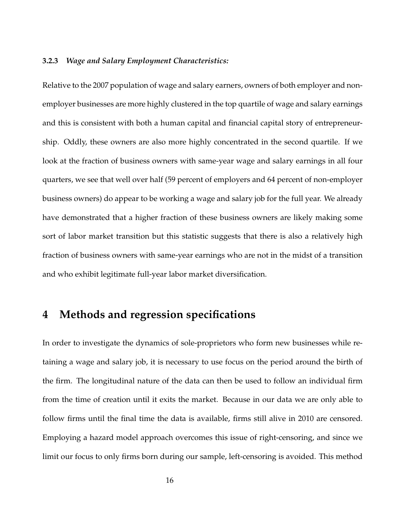#### **3.2.3** *Wage and Salary Employment Characteristics:*

Relative to the 2007 population of wage and salary earners, owners of both employer and nonemployer businesses are more highly clustered in the top quartile of wage and salary earnings and this is consistent with both a human capital and financial capital story of entrepreneurship. Oddly, these owners are also more highly concentrated in the second quartile. If we look at the fraction of business owners with same-year wage and salary earnings in all four quarters, we see that well over half (59 percent of employers and 64 percent of non-employer business owners) do appear to be working a wage and salary job for the full year. We already have demonstrated that a higher fraction of these business owners are likely making some sort of labor market transition but this statistic suggests that there is also a relatively high fraction of business owners with same-year earnings who are not in the midst of a transition and who exhibit legitimate full-year labor market diversification.

## **4 Methods and regression specifications**

In order to investigate the dynamics of sole-proprietors who form new businesses while retaining a wage and salary job, it is necessary to use focus on the period around the birth of the firm. The longitudinal nature of the data can then be used to follow an individual firm from the time of creation until it exits the market. Because in our data we are only able to follow firms until the final time the data is available, firms still alive in 2010 are censored. Employing a hazard model approach overcomes this issue of right-censoring, and since we limit our focus to only firms born during our sample, left-censoring is avoided. This method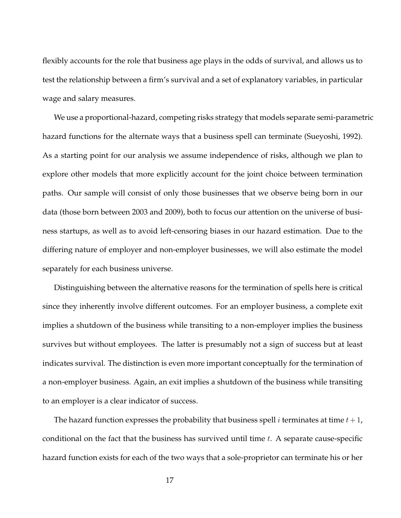flexibly accounts for the role that business age plays in the odds of survival, and allows us to test the relationship between a firm's survival and a set of explanatory variables, in particular wage and salary measures.

We use a proportional-hazard, competing risks strategy that models separate semi-parametric hazard functions for the alternate ways that a business spell can terminate (Sueyoshi, 1992). As a starting point for our analysis we assume independence of risks, although we plan to explore other models that more explicitly account for the joint choice between termination paths. Our sample will consist of only those businesses that we observe being born in our data (those born between 2003 and 2009), both to focus our attention on the universe of business startups, as well as to avoid left-censoring biases in our hazard estimation. Due to the differing nature of employer and non-employer businesses, we will also estimate the model separately for each business universe.

Distinguishing between the alternative reasons for the termination of spells here is critical since they inherently involve different outcomes. For an employer business, a complete exit implies a shutdown of the business while transiting to a non-employer implies the business survives but without employees. The latter is presumably not a sign of success but at least indicates survival. The distinction is even more important conceptually for the termination of a non-employer business. Again, an exit implies a shutdown of the business while transiting to an employer is a clear indicator of success.

The hazard function expresses the probability that business spell *i* terminates at time  $t + 1$ , conditional on the fact that the business has survived until time  $t$ . A separate cause-specific hazard function exists for each of the two ways that a sole-proprietor can terminate his or her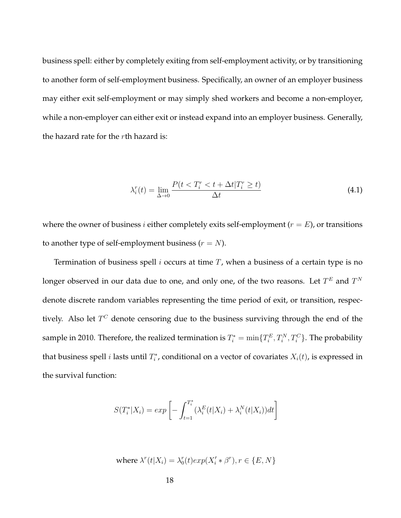business spell: either by completely exiting from self-employment activity, or by transitioning to another form of self-employment business. Specifically, an owner of an employer business may either exit self-employment or may simply shed workers and become a non-employer, while a non-employer can either exit or instead expand into an employer business. Generally, the hazard rate for the  $r$ th hazard is:

$$
\lambda_i^r(t) = \lim_{\Delta \to 0} \frac{P(t < T_i^r < t + \Delta t | T_i^r \ge t)}{\Delta t} \tag{4.1}
$$

where the owner of business *i* either completely exits self-employment ( $r = E$ ), or transitions to another type of self-employment business  $(r = N)$ .

Termination of business spell  $i$  occurs at time  $T$ , when a business of a certain type is no longer observed in our data due to one, and only one, of the two reasons. Let  $T^E$  and  $T^N$ denote discrete random variables representing the time period of exit, or transition, respectively. Also let  $T^C$  denote censoring due to the business surviving through the end of the sample in 2010. Therefore, the realized termination is  $T_i^* = \min\{T_i^E, T_i^N, T_i^C\}$ . The probability that business spell *i* lasts until  $T_i^*$ , conditional on a vector of covariates  $X_i(t)$ , is expressed in the survival function:

$$
S(T_i^*|X_i) = exp\left[-\int_{t=1}^{T_i^*} (\lambda_i^E(t|X_i) + \lambda_i^N(t|X_i))dt\right]
$$

where 
$$
\lambda^r(t|X_i) = \lambda_0^r(t) exp(X_i' * \beta^r), r \in \{E, N\}
$$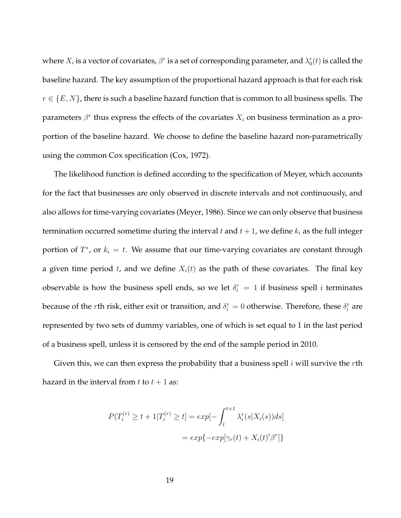where  $X_i$  is a vector of covariates,  $\beta^r$  is a set of corresponding parameter, and  $\lambda_0^r(t)$  is called the baseline hazard. The key assumption of the proportional hazard approach is that for each risk  $r \in \{E, N\}$ , there is such a baseline hazard function that is common to all business spells. The parameters  $\beta^r$  thus express the effects of the covariates  $X_i$  on business termination as a proportion of the baseline hazard. We choose to define the baseline hazard non-parametrically using the common Cox specification (Cox, 1972).

The likelihood function is defined according to the specification of Meyer, which accounts for the fact that businesses are only observed in discrete intervals and not continuously, and also allows for time-varying covariates (Meyer, 1986). Since we can only observe that business termination occurred sometime during the interval t and  $t + 1$ , we define  $k_i$  as the full integer portion of  $T^*$ , or  $k_i = t$ . We assume that our time-varying covariates are constant through a given time period t, and we define  $X_i(t)$  as the path of these covariates. The final key observable is how the business spell ends, so we let  $\delta_i^r = 1$  if business spell i terminates because of the *r*th risk, either exit or transition, and  $\delta_i^r = 0$  otherwise. Therefore, these  $\delta_i^r$  are represented by two sets of dummy variables, one of which is set equal to 1 in the last period of a business spell, unless it is censored by the end of the sample period in 2010.

Given this, we can then express the probability that a business spell  $i$  will survive the rth hazard in the interval from  $t$  to  $t + 1$  as:

$$
P(T_i^{(r)} \ge t + 1 | T_i^{(r)} \ge t] = exp[-\int_t^{t+1} \lambda_i^r(s | X_i(s)) ds]
$$

$$
= exp\{-exp[\gamma_r(t) + X_i(t)'\beta^r]\}
$$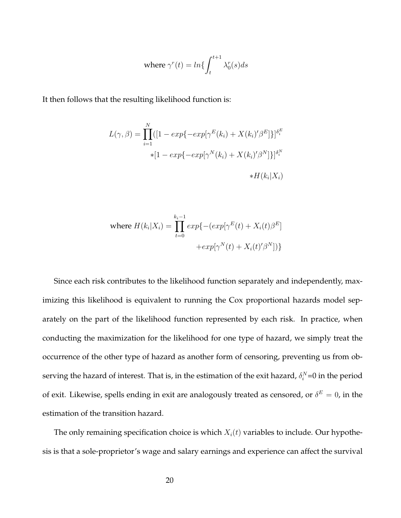where 
$$
\gamma^r(t) = \ln\left\{\int_t^{t+1} \lambda_0^r(s)ds\right\}
$$

It then follows that the resulting likelihood function is:

$$
L(\gamma, \beta) = \prod_{i=1}^{N} ([1 - exp{-exp[\gamma^{E}(k_i) + X(k_i)'\beta^{E}]})]^{\delta_i^{E}}
$$
  
 \*[1 - exp{-exp[\gamma^{N}(k\_i) + X(k\_i)'\beta^{N}]}]}^{\delta\_i^{N}}  
 \*H(k\_i|X\_i)

where 
$$
H(k_i|X_i) = \prod_{t=0}^{k_i-1} exp\{-(exp[\gamma^E(t) + X_i(t)\beta^E]
$$

$$
+ exp[\gamma^N(t) + X_i(t)'\beta^N])\}
$$

Since each risk contributes to the likelihood function separately and independently, maximizing this likelihood is equivalent to running the Cox proportional hazards model separately on the part of the likelihood function represented by each risk. In practice, when conducting the maximization for the likelihood for one type of hazard, we simply treat the occurrence of the other type of hazard as another form of censoring, preventing us from observing the hazard of interest. That is, in the estimation of the exit hazard,  $\delta_i^N{=}0$  in the period of exit. Likewise, spells ending in exit are analogously treated as censored, or  $\delta^E=0$ , in the estimation of the transition hazard.

The only remaining specification choice is which  $X_i(t)$  variables to include. Our hypothesis is that a sole-proprietor's wage and salary earnings and experience can affect the survival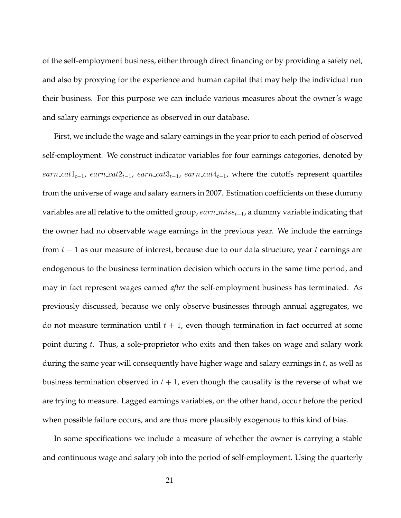of the self-employment business, either through direct financing or by providing a safety net, and also by proxying for the experience and human capital that may help the individual run their business. For this purpose we can include various measures about the owner's wage and salary earnings experience as observed in our database.

First, we include the wage and salary earnings in the year prior to each period of observed self-employment. We construct indicator variables for four earnings categories, denoted by earn\_cat1<sub>t−1</sub>, earn\_cat2<sub>t−1</sub>, earn\_cat3<sub>t−1</sub>, earn\_cat4<sub>t−1</sub>, where the cutoffs represent quartiles from the universe of wage and salary earners in 2007. Estimation coefficients on these dummy variables are all relative to the omitted group,  $earn\_miss_{t-1}$ , a dummy variable indicating that the owner had no observable wage earnings in the previous year. We include the earnings from  $t - 1$  as our measure of interest, because due to our data structure, year t earnings are endogenous to the business termination decision which occurs in the same time period, and may in fact represent wages earned *after* the self-employment business has terminated. As previously discussed, because we only observe businesses through annual aggregates, we do not measure termination until  $t + 1$ , even though termination in fact occurred at some point during  $t$ . Thus, a sole-proprietor who exits and then takes on wage and salary work during the same year will consequently have higher wage and salary earnings in  $t$ , as well as business termination observed in  $t + 1$ , even though the causality is the reverse of what we are trying to measure. Lagged earnings variables, on the other hand, occur before the period when possible failure occurs, and are thus more plausibly exogenous to this kind of bias.

In some specifications we include a measure of whether the owner is carrying a stable and continuous wage and salary job into the period of self-employment. Using the quarterly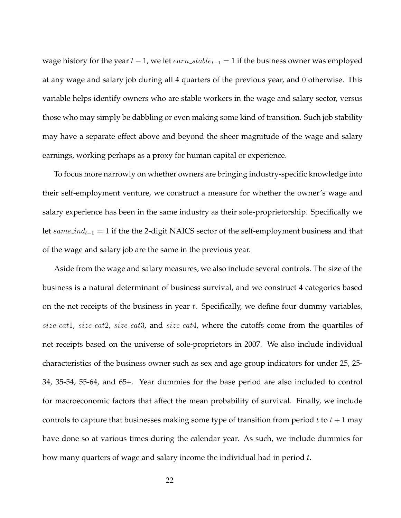wage history for the year  $t - 1$ , we let  $earn\_stable_{t-1} = 1$  if the business owner was employed at any wage and salary job during all 4 quarters of the previous year, and 0 otherwise. This variable helps identify owners who are stable workers in the wage and salary sector, versus those who may simply be dabbling or even making some kind of transition. Such job stability may have a separate effect above and beyond the sheer magnitude of the wage and salary earnings, working perhaps as a proxy for human capital or experience.

To focus more narrowly on whether owners are bringing industry-specific knowledge into their self-employment venture, we construct a measure for whether the owner's wage and salary experience has been in the same industry as their sole-proprietorship. Specifically we let same\_ind<sub>t−1</sub> = 1 if the the 2-digit NAICS sector of the self-employment business and that of the wage and salary job are the same in the previous year.

Aside from the wage and salary measures, we also include several controls. The size of the business is a natural determinant of business survival, and we construct 4 categories based on the net receipts of the business in year  $t$ . Specifically, we define four dummy variables, size cat1, size cat2, size cat3, and size cat4, where the cutoffs come from the quartiles of net receipts based on the universe of sole-proprietors in 2007. We also include individual characteristics of the business owner such as sex and age group indicators for under 25, 25- 34, 35-54, 55-64, and 65+. Year dummies for the base period are also included to control for macroeconomic factors that affect the mean probability of survival. Finally, we include controls to capture that businesses making some type of transition from period t to  $t + 1$  may have done so at various times during the calendar year. As such, we include dummies for how many quarters of wage and salary income the individual had in period t.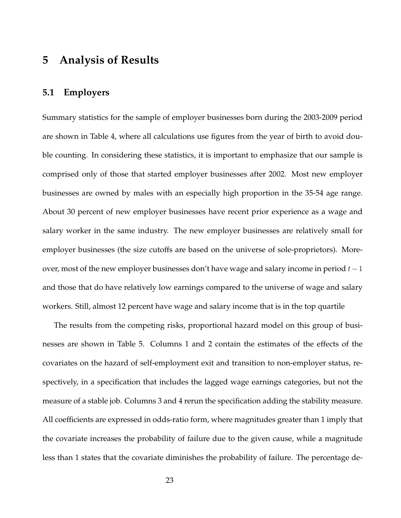## **5 Analysis of Results**

### **5.1 Employers**

Summary statistics for the sample of employer businesses born during the 2003-2009 period are shown in Table 4, where all calculations use figures from the year of birth to avoid double counting. In considering these statistics, it is important to emphasize that our sample is comprised only of those that started employer businesses after 2002. Most new employer businesses are owned by males with an especially high proportion in the 35-54 age range. About 30 percent of new employer businesses have recent prior experience as a wage and salary worker in the same industry. The new employer businesses are relatively small for employer businesses (the size cutoffs are based on the universe of sole-proprietors). Moreover, most of the new employer businesses don't have wage and salary income in period  $t-1$ and those that do have relatively low earnings compared to the universe of wage and salary workers. Still, almost 12 percent have wage and salary income that is in the top quartile

The results from the competing risks, proportional hazard model on this group of businesses are shown in Table 5. Columns 1 and 2 contain the estimates of the effects of the covariates on the hazard of self-employment exit and transition to non-employer status, respectively, in a specification that includes the lagged wage earnings categories, but not the measure of a stable job. Columns 3 and 4 rerun the specification adding the stability measure. All coefficients are expressed in odds-ratio form, where magnitudes greater than 1 imply that the covariate increases the probability of failure due to the given cause, while a magnitude less than 1 states that the covariate diminishes the probability of failure. The percentage de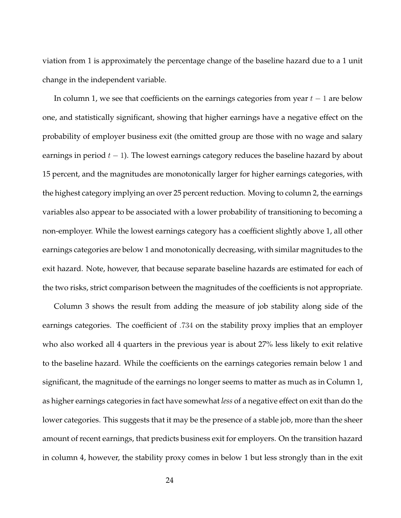viation from 1 is approximately the percentage change of the baseline hazard due to a 1 unit change in the independent variable.

In column 1, we see that coefficients on the earnings categories from year  $t - 1$  are below one, and statistically significant, showing that higher earnings have a negative effect on the probability of employer business exit (the omitted group are those with no wage and salary earnings in period  $t - 1$ ). The lowest earnings category reduces the baseline hazard by about 15 percent, and the magnitudes are monotonically larger for higher earnings categories, with the highest category implying an over 25 percent reduction. Moving to column 2, the earnings variables also appear to be associated with a lower probability of transitioning to becoming a non-employer. While the lowest earnings category has a coefficient slightly above 1, all other earnings categories are below 1 and monotonically decreasing, with similar magnitudes to the exit hazard. Note, however, that because separate baseline hazards are estimated for each of the two risks, strict comparison between the magnitudes of the coefficients is not appropriate.

Column 3 shows the result from adding the measure of job stability along side of the earnings categories. The coefficient of .734 on the stability proxy implies that an employer who also worked all 4 quarters in the previous year is about 27% less likely to exit relative to the baseline hazard. While the coefficients on the earnings categories remain below 1 and significant, the magnitude of the earnings no longer seems to matter as much as in Column 1, as higher earnings categories in fact have somewhat *less* of a negative effect on exit than do the lower categories. This suggests that it may be the presence of a stable job, more than the sheer amount of recent earnings, that predicts business exit for employers. On the transition hazard in column 4, however, the stability proxy comes in below 1 but less strongly than in the exit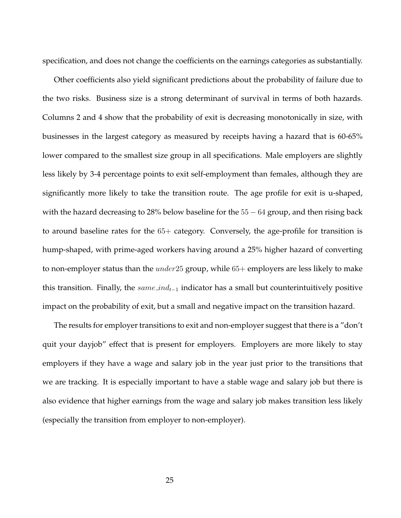specification, and does not change the coefficients on the earnings categories as substantially.

Other coefficients also yield significant predictions about the probability of failure due to the two risks. Business size is a strong determinant of survival in terms of both hazards. Columns 2 and 4 show that the probability of exit is decreasing monotonically in size, with businesses in the largest category as measured by receipts having a hazard that is 60-65% lower compared to the smallest size group in all specifications. Male employers are slightly less likely by 3-4 percentage points to exit self-employment than females, although they are significantly more likely to take the transition route. The age profile for exit is u-shaped, with the hazard decreasing to 28% below baseline for the  $55 - 64$  group, and then rising back to around baseline rates for the 65+ category. Conversely, the age-profile for transition is hump-shaped, with prime-aged workers having around a 25% higher hazard of converting to non-employer status than the  $under25$  group, while  $65+$  employers are less likely to make this transition. Finally, the  $same\_ind_{t-1}$  indicator has a small but counterintuitively positive impact on the probability of exit, but a small and negative impact on the transition hazard.

The results for employer transitions to exit and non-employer suggest that there is a "don't quit your dayjob" effect that is present for employers. Employers are more likely to stay employers if they have a wage and salary job in the year just prior to the transitions that we are tracking. It is especially important to have a stable wage and salary job but there is also evidence that higher earnings from the wage and salary job makes transition less likely (especially the transition from employer to non-employer).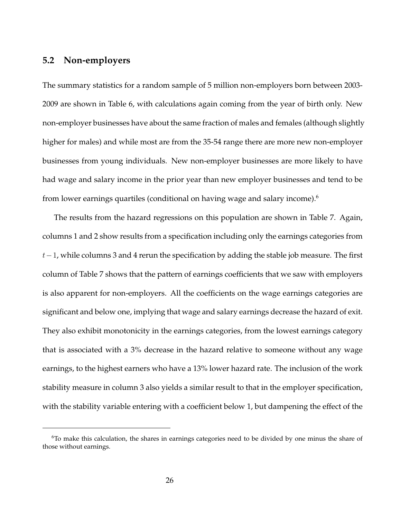### **5.2 Non-employers**

The summary statistics for a random sample of 5 million non-employers born between 2003- 2009 are shown in Table 6, with calculations again coming from the year of birth only. New non-employer businesses have about the same fraction of males and females (although slightly higher for males) and while most are from the 35-54 range there are more new non-employer businesses from young individuals. New non-employer businesses are more likely to have had wage and salary income in the prior year than new employer businesses and tend to be from lower earnings quartiles (conditional on having wage and salary income).<sup>6</sup>

The results from the hazard regressions on this population are shown in Table 7. Again, columns 1 and 2 show results from a specification including only the earnings categories from  $t-1$ , while columns 3 and 4 rerun the specification by adding the stable job measure. The first column of Table 7 shows that the pattern of earnings coefficients that we saw with employers is also apparent for non-employers. All the coefficients on the wage earnings categories are significant and below one, implying that wage and salary earnings decrease the hazard of exit. They also exhibit monotonicity in the earnings categories, from the lowest earnings category that is associated with a 3% decrease in the hazard relative to someone without any wage earnings, to the highest earners who have a 13% lower hazard rate. The inclusion of the work stability measure in column 3 also yields a similar result to that in the employer specification, with the stability variable entering with a coefficient below 1, but dampening the effect of the

 $6T<sub>0</sub>$  make this calculation, the shares in earnings categories need to be divided by one minus the share of those without earnings.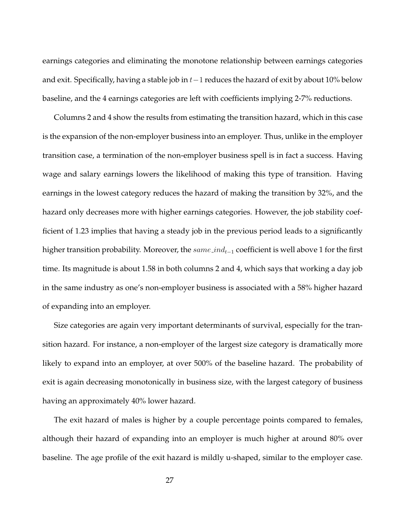earnings categories and eliminating the monotone relationship between earnings categories and exit. Specifically, having a stable job in  $t-1$  reduces the hazard of exit by about 10% below baseline, and the 4 earnings categories are left with coefficients implying 2-7% reductions.

Columns 2 and 4 show the results from estimating the transition hazard, which in this case is the expansion of the non-employer business into an employer. Thus, unlike in the employer transition case, a termination of the non-employer business spell is in fact a success. Having wage and salary earnings lowers the likelihood of making this type of transition. Having earnings in the lowest category reduces the hazard of making the transition by 32%, and the hazard only decreases more with higher earnings categories. However, the job stability coefficient of 1.23 implies that having a steady job in the previous period leads to a significantly higher transition probability. Moreover, the same\_ind<sub>t−1</sub> coefficient is well above 1 for the first time. Its magnitude is about 1.58 in both columns 2 and 4, which says that working a day job in the same industry as one's non-employer business is associated with a 58% higher hazard of expanding into an employer.

Size categories are again very important determinants of survival, especially for the transition hazard. For instance, a non-employer of the largest size category is dramatically more likely to expand into an employer, at over 500% of the baseline hazard. The probability of exit is again decreasing monotonically in business size, with the largest category of business having an approximately 40% lower hazard.

The exit hazard of males is higher by a couple percentage points compared to females, although their hazard of expanding into an employer is much higher at around 80% over baseline. The age profile of the exit hazard is mildly u-shaped, similar to the employer case.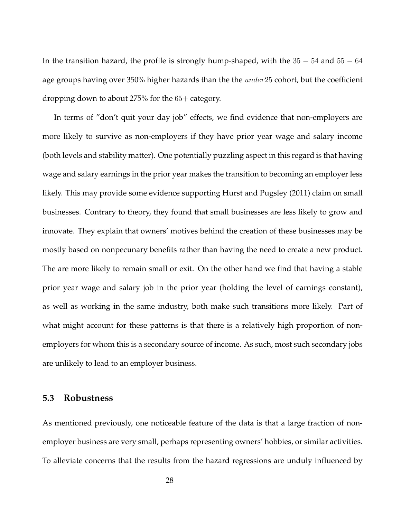In the transition hazard, the profile is strongly hump-shaped, with the  $35 - 54$  and  $55 - 64$ age groups having over 350% higher hazards than the the *under* 25 cohort, but the coefficient dropping down to about 275% for the 65+ category.

In terms of "don't quit your day job" effects, we find evidence that non-employers are more likely to survive as non-employers if they have prior year wage and salary income (both levels and stability matter). One potentially puzzling aspect in this regard is that having wage and salary earnings in the prior year makes the transition to becoming an employer less likely. This may provide some evidence supporting Hurst and Pugsley (2011) claim on small businesses. Contrary to theory, they found that small businesses are less likely to grow and innovate. They explain that owners' motives behind the creation of these businesses may be mostly based on nonpecunary benefits rather than having the need to create a new product. The are more likely to remain small or exit. On the other hand we find that having a stable prior year wage and salary job in the prior year (holding the level of earnings constant), as well as working in the same industry, both make such transitions more likely. Part of what might account for these patterns is that there is a relatively high proportion of nonemployers for whom this is a secondary source of income. As such, most such secondary jobs are unlikely to lead to an employer business.

### **5.3 Robustness**

As mentioned previously, one noticeable feature of the data is that a large fraction of nonemployer business are very small, perhaps representing owners' hobbies, or similar activities. To alleviate concerns that the results from the hazard regressions are unduly influenced by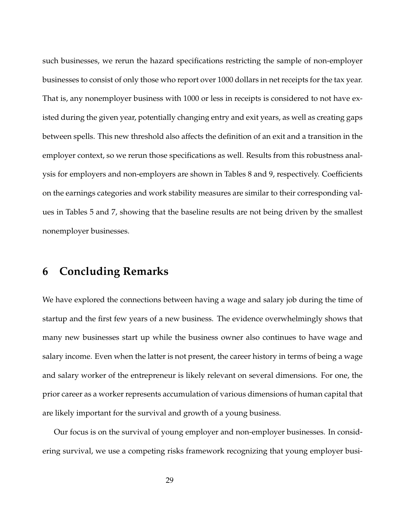such businesses, we rerun the hazard specifications restricting the sample of non-employer businesses to consist of only those who report over 1000 dollars in net receipts for the tax year. That is, any nonemployer business with 1000 or less in receipts is considered to not have existed during the given year, potentially changing entry and exit years, as well as creating gaps between spells. This new threshold also affects the definition of an exit and a transition in the employer context, so we rerun those specifications as well. Results from this robustness analysis for employers and non-employers are shown in Tables 8 and 9, respectively. Coefficients on the earnings categories and work stability measures are similar to their corresponding values in Tables 5 and 7, showing that the baseline results are not being driven by the smallest nonemployer businesses.

## **6 Concluding Remarks**

We have explored the connections between having a wage and salary job during the time of startup and the first few years of a new business. The evidence overwhelmingly shows that many new businesses start up while the business owner also continues to have wage and salary income. Even when the latter is not present, the career history in terms of being a wage and salary worker of the entrepreneur is likely relevant on several dimensions. For one, the prior career as a worker represents accumulation of various dimensions of human capital that are likely important for the survival and growth of a young business.

Our focus is on the survival of young employer and non-employer businesses. In considering survival, we use a competing risks framework recognizing that young employer busi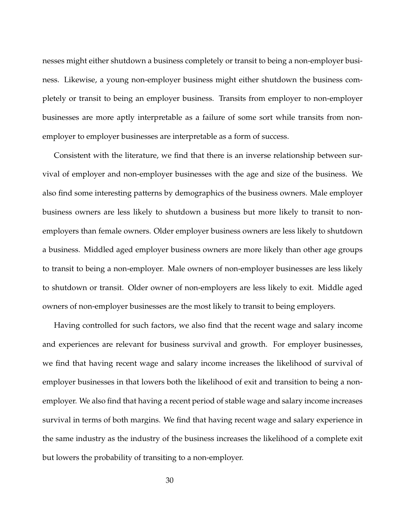nesses might either shutdown a business completely or transit to being a non-employer business. Likewise, a young non-employer business might either shutdown the business completely or transit to being an employer business. Transits from employer to non-employer businesses are more aptly interpretable as a failure of some sort while transits from nonemployer to employer businesses are interpretable as a form of success.

Consistent with the literature, we find that there is an inverse relationship between survival of employer and non-employer businesses with the age and size of the business. We also find some interesting patterns by demographics of the business owners. Male employer business owners are less likely to shutdown a business but more likely to transit to nonemployers than female owners. Older employer business owners are less likely to shutdown a business. Middled aged employer business owners are more likely than other age groups to transit to being a non-employer. Male owners of non-employer businesses are less likely to shutdown or transit. Older owner of non-employers are less likely to exit. Middle aged owners of non-employer businesses are the most likely to transit to being employers.

Having controlled for such factors, we also find that the recent wage and salary income and experiences are relevant for business survival and growth. For employer businesses, we find that having recent wage and salary income increases the likelihood of survival of employer businesses in that lowers both the likelihood of exit and transition to being a nonemployer. We also find that having a recent period of stable wage and salary income increases survival in terms of both margins. We find that having recent wage and salary experience in the same industry as the industry of the business increases the likelihood of a complete exit but lowers the probability of transiting to a non-employer.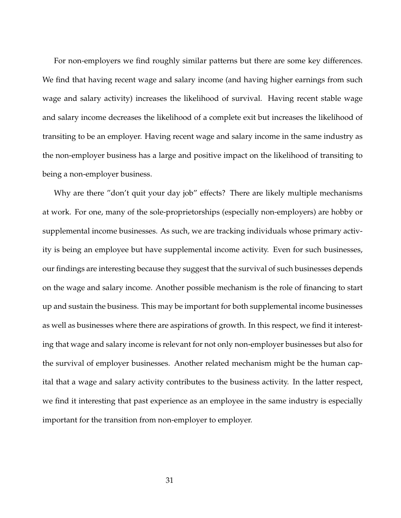For non-employers we find roughly similar patterns but there are some key differences. We find that having recent wage and salary income (and having higher earnings from such wage and salary activity) increases the likelihood of survival. Having recent stable wage and salary income decreases the likelihood of a complete exit but increases the likelihood of transiting to be an employer. Having recent wage and salary income in the same industry as the non-employer business has a large and positive impact on the likelihood of transiting to being a non-employer business.

Why are there "don't quit your day job" effects? There are likely multiple mechanisms at work. For one, many of the sole-proprietorships (especially non-employers) are hobby or supplemental income businesses. As such, we are tracking individuals whose primary activity is being an employee but have supplemental income activity. Even for such businesses, our findings are interesting because they suggest that the survival of such businesses depends on the wage and salary income. Another possible mechanism is the role of financing to start up and sustain the business. This may be important for both supplemental income businesses as well as businesses where there are aspirations of growth. In this respect, we find it interesting that wage and salary income is relevant for not only non-employer businesses but also for the survival of employer businesses. Another related mechanism might be the human capital that a wage and salary activity contributes to the business activity. In the latter respect, we find it interesting that past experience as an employee in the same industry is especially important for the transition from non-employer to employer.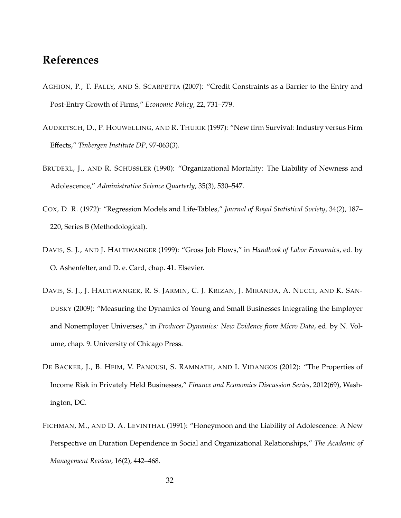## **References**

- AGHION, P., T. FALLY, AND S. SCARPETTA (2007): "Credit Constraints as a Barrier to the Entry and Post-Entry Growth of Firms," *Economic Policy*, 22, 731–779.
- AUDRETSCH, D., P. HOUWELLING, AND R. THURIK (1997): "New firm Survival: Industry versus Firm Effects," *Tinbergen Institute DP*, 97-063(3).
- BRUDERL, J., AND R. SCHUSSLER (1990): "Organizational Mortality: The Liability of Newness and Adolescence," *Administrative Science Quarterly*, 35(3), 530–547.
- COX, D. R. (1972): "Regression Models and Life-Tables," *Journal of Royal Statistical Society*, 34(2), 187– 220, Series B (Methodological).
- DAVIS, S. J., AND J. HALTIWANGER (1999): "Gross Job Flows," in *Handbook of Labor Economics*, ed. by O. Ashenfelter, and D. e. Card, chap. 41. Elsevier.
- DAVIS, S. J., J. HALTIWANGER, R. S. JARMIN, C. J. KRIZAN, J. MIRANDA, A. NUCCI, AND K. SAN-DUSKY (2009): "Measuring the Dynamics of Young and Small Businesses Integrating the Employer and Nonemployer Universes," in *Producer Dynamics: New Evidence from Micro Data*, ed. by N. Volume, chap. 9. University of Chicago Press.
- DE BACKER, J., B. HEIM, V. PANOUSI, S. RAMNATH, AND I. VIDANGOS (2012): "The Properties of Income Risk in Privately Held Businesses," *Finance and Economics Discussion Series*, 2012(69), Washington, DC.
- FICHMAN, M., AND D. A. LEVINTHAL (1991): "Honeymoon and the Liability of Adolescence: A New Perspective on Duration Dependence in Social and Organizational Relationships," *The Academic of Management Review*, 16(2), 442–468.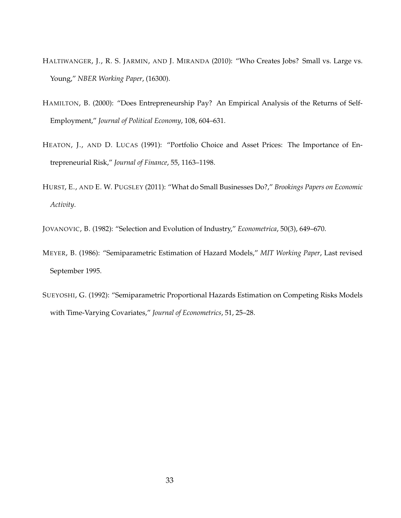- HALTIWANGER, J., R. S. JARMIN, AND J. MIRANDA (2010): "Who Creates Jobs? Small vs. Large vs. Young," *NBER Working Paper*, (16300).
- HAMILTON, B. (2000): "Does Entrepreneurship Pay? An Empirical Analysis of the Returns of Self-Employment," *Journal of Political Economy*, 108, 604–631.
- HEATON, J., AND D. LUCAS (1991): "Portfolio Choice and Asset Prices: The Importance of Entrepreneurial Risk," *Journal of Finance*, 55, 1163–1198.
- HURST, E., AND E. W. PUGSLEY (2011): "What do Small Businesses Do?," *Brookings Papers on Economic Activity*.

JOVANOVIC, B. (1982): "Selection and Evolution of Industry," *Econometrica*, 50(3), 649–670.

- MEYER, B. (1986): "Semiparametric Estimation of Hazard Models," *MIT Working Paper*, Last revised September 1995.
- SUEYOSHI, G. (1992): "Semiparametric Proportional Hazards Estimation on Competing Risks Models with Time-Varying Covariates," *Journal of Econometrics*, 51, 25–28.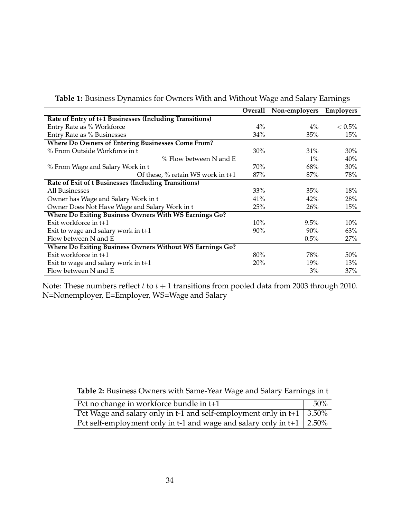|                                                                 | Overall | Non-employers | <b>Employers</b> |
|-----------------------------------------------------------------|---------|---------------|------------------|
| Rate of Entry of t+1 Businesses (Including Transitions)         |         |               |                  |
| Entry Rate as % Workforce                                       | $4\%$   | $4\%$         | $< 0.5\%$        |
| Entry Rate as % Businesses                                      | 34%     | 35%           | 15%              |
| <b>Where Do Owners of Entering Businesses Come From?</b>        |         |               |                  |
| % From Outside Workforce in t                                   | $30\%$  | $31\%$        | 30%              |
| $%$ Flow between N and E                                        |         | $1\%$         | 40%              |
| % From Wage and Salary Work in t                                | 70%     | 68%           | 30%              |
| Of these, $\%$ retain WS work in t+1                            | 87%     | 87%           | 78%              |
| Rate of Exit of t Businesses (Including Transitions)            |         |               |                  |
| All Businesses                                                  | 33%     | 35%           | 18%              |
| Owner has Wage and Salary Work in t                             | 41%     | 42%           | 28%              |
| Owner Does Not Have Wage and Salary Work in t                   | 25%     | 26%           | 15%              |
| Where Do Exiting Business Owners With WS Earnings Go?           |         |               |                  |
| Exit workforce in $t+1$                                         | 10%     | $9.5\%$       | 10%              |
| Exit to wage and salary work in t+1                             | 90%     | 90%           | 63%              |
| Flow between N and E                                            |         | $0.5\%$       | 27%              |
| <b>Where Do Exiting Business Owners Without WS Earnings Go?</b> |         |               |                  |
| Exit workforce in t+1                                           | 80%     | 78%           | 50%              |
| Exit to wage and salary work in $t+1$                           | 20%     | 19%           | 13%              |
| Flow between N and E                                            |         | 3%            | 37%              |

**Table 1:** Business Dynamics for Owners With and Without Wage and Salary Earnings

Note: These numbers reflect  $t$  to  $t + 1$  transitions from pooled data from 2003 through 2010. N=Nonemployer, E=Employer, WS=Wage and Salary

**Table 2:** Business Owners with Same-Year Wage and Salary Earnings in t

| Pct no change in workforce bundle in t+1                                     | 50% |
|------------------------------------------------------------------------------|-----|
| Pct Wage and salary only in t-1 and self-employment only in t+1 $\mid$ 3.50% |     |
| Pct self-employment only in t-1 and wage and salary only in t+1 $\mid$ 2.50% |     |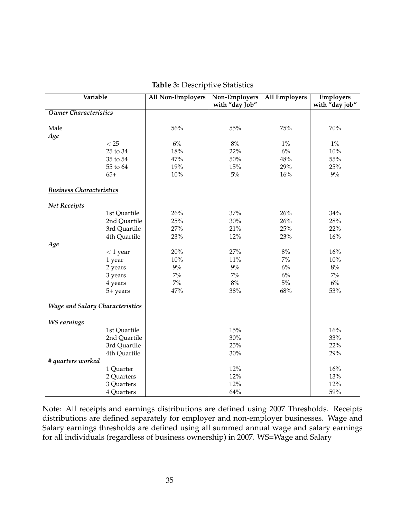| Variable                               |              | <b>All Non-Employers</b> | Non-Employers<br>with "day Job" | <b>All Employers</b> | <b>Employers</b><br>with "day job" |
|----------------------------------------|--------------|--------------------------|---------------------------------|----------------------|------------------------------------|
| Owner Characteristics                  |              |                          |                                 |                      |                                    |
| Male                                   |              | 56%                      | 55%                             | 75%                  | 70%                                |
| Age                                    |              |                          |                                 |                      |                                    |
|                                        | < 25         | $6\%$                    | $8\%$                           | $1\%$                | $1\%$                              |
|                                        | 25 to 34     | 18%                      | 22%                             | $6\%$                | 10%                                |
|                                        | 35 to 54     | 47%                      | 50%                             | 48%                  | 55%                                |
|                                        | 55 to 64     | 19%                      | 15%                             | 29%                  | 25%                                |
|                                        | $65+$        | 10%                      | $5\%$                           | 16%                  | $9\%$                              |
| <b>Business Characteristics</b>        |              |                          |                                 |                      |                                    |
| <b>Net Receipts</b>                    |              |                          |                                 |                      |                                    |
|                                        | 1st Quartile | 26%                      | 37%                             | 26%                  | 34%                                |
|                                        | 2nd Quartile | 25%                      | $30\%$                          | 26%                  | 28%                                |
|                                        | 3rd Quartile | 27%                      | 21%                             | 25%                  | 22%                                |
|                                        | 4th Quartile | 23%                      | 12%                             | 23%                  | 16%                                |
| Age                                    |              |                          |                                 |                      |                                    |
|                                        | $<$ 1 year   | 20%                      | 27%                             | $8\%$                | 16%                                |
|                                        | 1 year       | 10%                      | 11%                             | $7\%$                | 10%                                |
|                                        | 2 years      | $9\%$                    | $9\%$                           | $6\%$                | $8\%$                              |
|                                        | 3 years      | $7\%$                    | $7\%$                           | $6\%$                | $7\%$                              |
|                                        | 4 years      | $7\%$                    | $8\%$                           | $5\%$                | $6\%$                              |
|                                        | 5+ years     | 47%                      | 38%                             | 68%                  | 53%                                |
| <b>Wage and Salary Characteristics</b> |              |                          |                                 |                      |                                    |
| <b>WS</b> earnings                     |              |                          |                                 |                      |                                    |
|                                        | 1st Quartile |                          | 15%                             |                      | 16%                                |
|                                        | 2nd Quartile |                          | $30\%$                          |                      | $33\%$                             |
|                                        | 3rd Quartile |                          | 25%                             |                      | 22%                                |
|                                        | 4th Quartile |                          | $30\%$                          |                      | 29%                                |
| # quarters worked                      |              |                          |                                 |                      |                                    |
|                                        | 1 Quarter    |                          | 12%                             |                      | 16%                                |
|                                        | 2 Quarters   |                          | 12%                             |                      | 13%                                |
|                                        | 3 Quarters   |                          | 12%                             |                      | 12%                                |
|                                        | 4 Quarters   |                          | 64%                             |                      | 59%                                |

**Table 3:** Descriptive Statistics

Note: All receipts and earnings distributions are defined using 2007 Thresholds. Receipts distributions are defined separately for employer and non-employer businesses. Wage and Salary earnings thresholds are defined using all summed annual wage and salary earnings for all individuals (regardless of business ownership) in 2007. WS=Wage and Salary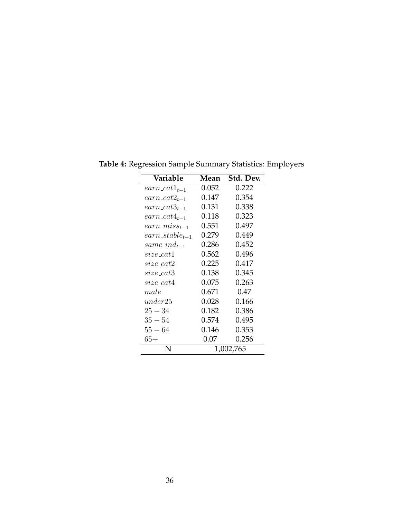| Variable                    | Mean      | Std. Dev. |  |
|-----------------------------|-----------|-----------|--|
| $\mathit{earn}\_cat1_{t-1}$ | 0.052     | 0.222     |  |
| $earn\_cat2_{t-1}$          | 0.147     | 0.354     |  |
| $earn\_cat3_{t-1}$          | 0.131     | 0.338     |  |
| $earn\_cat4_{t-1}$          | 0.118     | 0.323     |  |
| $earn\_miss_{t-1}$          | 0.551     | 0.497     |  |
| $earn\_stable_{t-1}$        | 0.279     | 0.449     |  |
| same_ind <sub>t-1</sub>     | 0.286     | 0.452     |  |
| $size\_cat1$                | 0.562     | 0.496     |  |
| $size\_cat2$                | 0.225     | 0.417     |  |
| $size\_cat3$                | 0.138     | 0.345     |  |
| $size\_cat4$                | 0.075     | 0.263     |  |
| male                        | 0.671     | 0.47      |  |
| under 25                    | 0.028     | 0.166     |  |
| $25-34$                     | 0.182     | 0.386     |  |
| $35-54$                     | 0.574     | 0.495     |  |
| $55-64$                     | 0.146     | 0.353     |  |
| $65+$                       | 0.07      | 0.256     |  |
| N                           | 1,002,765 |           |  |

**Table 4:** Regression Sample Summary Statistics: Employers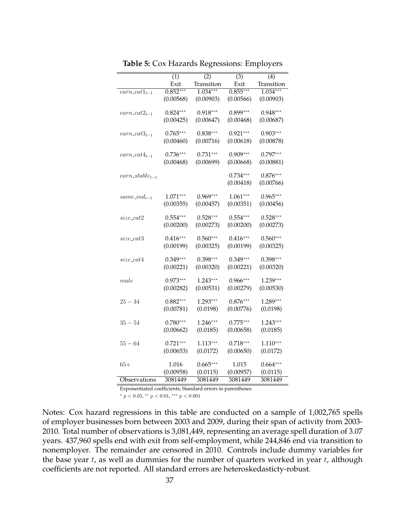|                                      | $\overline{(1)}$ | (2)        | $\overline{(3)}$ | $\overline{(4)}$ |
|--------------------------------------|------------------|------------|------------------|------------------|
|                                      | Exit             | Transition | Exit             | Transition       |
| $earn\_cat1_{t-1}$                   | $0.852***$       | $1.034***$ | $0.855***$       | $1.034***$       |
|                                      | (0.00568)        | (0.00903)  | (0.00566)        | (0.00903)        |
|                                      |                  |            |                  |                  |
| $\textit{earn}\_\textit{cat2}_{t-1}$ | $0.824***$       | $0.918***$ | $0.899***$       | $0.948***$       |
|                                      | (0.00425)        | (0.00647)  | (0.00468)        | (0.00687)        |
|                                      |                  |            |                  |                  |
| $\textit{earn}\_\textit{cat3}_{t-1}$ | $0.765***$       | $0.838***$ | $0.921***$       | $0.903***$       |
|                                      | (0.00460)        | (0.00716)  | (0.00618)        | (0.00878)        |
|                                      | $0.736***$       | $0.731***$ | $0.909***$       | $0.797***$       |
| $\textit{earn\_cat4}_{t-1}$          | (0.00468)        | (0.00699)  | (0.00668)        | (0.00881)        |
|                                      |                  |            |                  |                  |
| $\mathit{earn\_stable}_{t-1}$        |                  |            | $0.734***$       | $0.876***$       |
|                                      |                  |            | (0.00418)        | (0.00766)        |
|                                      |                  |            |                  |                  |
| $same\_ind_{t-1}$                    | $1.071***$       | $0.969***$ | $1.061***$       | $0.965***$       |
|                                      | (0.00355)        | (0.00457)  | (0.00351)        | (0.00456)        |
|                                      |                  |            |                  |                  |
| $size\_cat2$                         | $0.554***$       | $0.528***$ | $0.554***$       | $0.528***$       |
|                                      | (0.00200)        | (0.00273)  | (0.00200)        | (0.00273)        |
|                                      |                  |            |                  |                  |
| $size\_cat3$                         | $0.416***$       | $0.560***$ | $0.416***$       | $0.560***$       |
|                                      | (0.00199)        | (0.00325)  | (0.00199)        | (0.00325)        |
| $size\_cat4$                         | $0.349***$       | $0.398***$ | $0.349***$       | $0.398***$       |
|                                      | (0.00221)        | (0.00320)  | (0.00221)        | (0.00320)        |
|                                      |                  |            |                  |                  |
| $_{male}$                            | $0.973***$       | $1.243***$ | $0.966***$       | $1.239***$       |
|                                      | (0.00282)        | (0.00531)  | (0.00279)        | (0.00530)        |
|                                      |                  |            |                  |                  |
| $25 - 34$                            | $0.882***$       | $1.293***$ | $0.876***$       | $1.289***$       |
|                                      | (0.00781)        | (0.0198)   | (0.00776)        | (0.0198)         |
|                                      |                  |            |                  |                  |
| $35 - 54$                            | $0.780***$       | $1.246***$ | $0.775***$       | $1.243***$       |
|                                      | (0.00662)        | (0.0185)   | (0.00658)        | (0.0185)         |
|                                      |                  |            |                  |                  |
| $55 - 64$                            | $0.721***$       | $1.113***$ | $0.718***$       | $1.110***$       |
|                                      | (0.00653)        | (0.0172)   | (0.00650)        | (0.0172)         |
| 65+                                  | 1.016            | $0.665***$ | 1.015            | $0.664***$       |
|                                      | (0.00958)        | (0.0115)   | (0.00957)        | (0.0115)         |
| Observations                         | 3081449          | 3081449    | 3081449          | 3081449          |
|                                      |                  |            |                  |                  |

**Table 5:** Cox Hazards Regressions: Employers

 $* p < 0.05$ ,  $* p < 0.01$ ,  $* * p < 0.001$ 

Notes: Cox hazard regressions in this table are conducted on a sample of 1,002,765 spells of employer businesses born between 2003 and 2009, during their span of activity from 2003- 2010. Total number of observations is 3,081,449, representing an average spell duration of 3.07 years. 437,960 spells end with exit from self-employment, while 244,846 end via transition to nonemployer. The remainder are censored in 2010. Controls include dummy variables for the base year  $t$ , as well as dummies for the number of quarters worked in year  $t$ , although coefficients are not reported. All standard errors are heteroskedasticty-robust.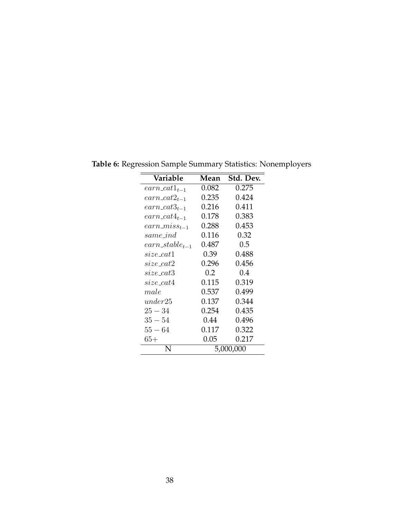| Variable                             | Mean      | Std. Dev. |  |
|--------------------------------------|-----------|-----------|--|
| $\textit{earn}\_\textit{cat1}_{t-1}$ | 0.082     | 0.275     |  |
| $earn\_cat2_{t-1}$                   | 0.235     | 0.424     |  |
| $earn\_cat3_{t-1}$                   | 0.216     | 0.411     |  |
| $earn\_cat4_{t-1}$                   | 0.178     | 0.383     |  |
| $earn\_miss_{t-1}$                   | 0.288     | 0.453     |  |
| same ind                             | 0.116     | 0.32      |  |
| $\mathit{earn\_stable}_{t-1}$        | 0.487     | 0.5       |  |
| size catl                            | 0.39      | 0.488     |  |
| size cat2                            | 0.296     | 0.456     |  |
| size_cat3                            | 0.2       | 0.4       |  |
| $size\_cat4$                         | 0.115     | 0.319     |  |
| male                                 | 0.537     | 0.499     |  |
| under 25                             | 0.137     | 0.344     |  |
| $25 - 34$                            | 0.254     | 0.435     |  |
| $35 - 54$                            | 0.44      | 0.496     |  |
| $55 - 64$                            | 0.117     | 0.322     |  |
| $65+$                                | 0.05      | 0.217     |  |
| N                                    | 5,000,000 |           |  |

**Table 6:** Regression Sample Summary Statistics: Nonemployers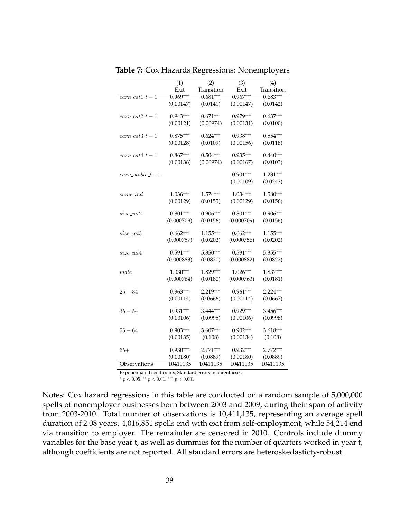|                      | (1)        | $\overline{(2)}$ | $\overline{(3)}$ | $\overline{(4)}$ |
|----------------------|------------|------------------|------------------|------------------|
|                      | Exit       | Transition       | Exit             | Transition       |
| $earn\_cat1_t - 1$   | $0.969***$ | $0.681***$       | $0.967***$       | $0.683***$       |
|                      | (0.00147)  | (0.0141)         | (0.00147)        | (0.0142)         |
|                      |            |                  |                  |                  |
| $earn\_cat2_t - 1$   | $0.943***$ | $0.671***$       | $0.979***$       | $0.637***$       |
|                      | (0.00121)  | (0.00974)        | (0.00131)        | (0.0100)         |
| $earn\_cat3_t - 1$   | $0.875***$ | $0.624***$       | $0.938***$       | $0.554***$       |
|                      | (0.00128)  | (0.0109)         | (0.00156)        | (0.0118)         |
|                      |            |                  |                  |                  |
| $earn\_cat4\_t-1$    | $0.867***$ | $0.504***$       | $0.935***$       | $0.440***$       |
|                      | (0.00136)  | (0.00974)        | (0.00167)        | (0.0103)         |
|                      |            |                  |                  |                  |
| $earn\_stable_t - 1$ |            |                  | $0.901***$       | $1.231***$       |
|                      |            |                  | (0.00109)        | (0.0243)         |
|                      | $1.036***$ | $1.574***$       | 1.034***         | 1.580***         |
| same_ind             |            |                  |                  |                  |
|                      | (0.00129)  | (0.0155)         | (0.00129)        | (0.0156)         |
| $size\_cat2$         | $0.801***$ | $0.906***$       | $0.801***$       | $0.906***$       |
|                      | (0.000709) | (0.0156)         | (0.000709)       | (0.0156)         |
|                      |            |                  |                  |                  |
| $size\_cat3$         | $0.662***$ | $1.155***$       | $0.662***$       | $1.155***$       |
|                      | (0.000757) | (0.0202)         | (0.000756)       | (0.0202)         |
|                      | $0.591***$ | 5.350***         | $0.591***$       | 5.355***         |
| $size\_cat4$         |            |                  |                  |                  |
|                      | (0.000883) | (0.0820)         | (0.000882)       | (0.0822)         |
| $_{male}$            | $1.030***$ | $1.829***$       | $1.026***$       | $1.837***$       |
|                      | (0.000764) | (0.0180)         | (0.000763)       | (0.0181)         |
|                      |            |                  |                  |                  |
| $25 - 34$            | $0.963***$ | $2.219***$       | $0.961***$       | $2.224***$       |
|                      | (0.00114)  | (0.0666)         | (0.00114)        | (0.0667)         |
|                      |            |                  |                  |                  |
| $35 - 54$            | $0.931***$ | $3.444***$       | $0.929***$       | $3.456***$       |
|                      | (0.00106)  | (0.0995)         | (0.00106)        | (0.0998)         |
| $55 - 64$            | $0.903***$ | $3.607***$       | $0.902***$       | $3.618***$       |
|                      | (0.00135)  | (0.108)          | (0.00134)        | (0.108)          |
|                      |            |                  |                  |                  |
| $65+$                | $0.930***$ | $2.771***$       | $0.932***$       | $2.772***$       |
|                      | (0.00180)  | (0.0889)         | (0.00180)        | (0.0889)         |
| Observations         | 10411135   | 10411135         | 10411135         | 10411135         |

**Table 7:** Cox Hazards Regressions: Nonemployers

 $*$   $p$  < 0.05,  $*$   $*$   $p$  < 0.01,  $*$   $*$   $*$   $p$  < 0.001

Notes: Cox hazard regressions in this table are conducted on a random sample of 5,000,000 spells of nonemployer businesses born between 2003 and 2009, during their span of activity from 2003-2010. Total number of observations is 10,411,135, representing an average spell duration of 2.08 years. 4,016,851 spells end with exit from self-employment, while 54,214 end via transition to employer. The remainder are censored in 2010. Controls include dummy variables for the base year t, as well as dummies for the number of quarters worked in year t, although coefficients are not reported. All standard errors are heteroskedasticty-robust.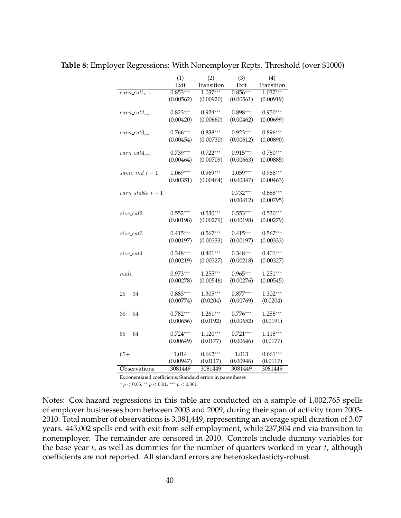|                                      | $\overline{(1)}$ | (2)        | $\overline{(3)}$ | $\overline{(4)}$ |
|--------------------------------------|------------------|------------|------------------|------------------|
|                                      | Exit             | Transition | Exit             | Transition       |
| $earn\_cat1_{t-1}$                   | $0.853***$       | $1.037***$ | $0.856***$       | $1.037***$       |
|                                      | (0.00562)        | (0.00920)  | (0.00561)        | (0.00919)        |
|                                      |                  |            |                  |                  |
| $\textit{earn}\_\textit{cat2}_{t-1}$ | $0.823***$       | $0.924***$ | $0.898***$       | $0.950***$       |
|                                      | (0.00420)        | (0.00660)  | (0.00462)        | (0.00699)        |
| $earn\_cat3_{t-1}$                   | $0.766***$       | $0.838***$ | $0.923***$       | $0.896***$       |
|                                      | (0.00454)        | (0.00730)  | (0.00612)        | (0.00890)        |
|                                      |                  |            |                  |                  |
| $\textit{earn}\_\textit{cat4}_{t-1}$ | $0.739***$       | $0.722***$ | $0.915***$       | $0.780***$       |
|                                      | (0.00464)        | (0.00709)  | (0.00663)        | (0.00885)        |
|                                      |                  |            |                  |                  |
| $same\_ind\_t - 1$                   | $1.069***$       | $0.969***$ | 1.059***         | $0.966***$       |
|                                      | (0.00351)        | (0.00464)  | (0.00347)        | (0.00463)        |
| $earn\_stable_t - 1$                 |                  |            | $0.732***$       | $0.888***$       |
|                                      |                  |            | (0.00412)        | (0.00795)        |
|                                      |                  |            |                  |                  |
| $size\_cat2$                         | $0.552***$       | $0.530***$ | $0.553***$       | $0.530***$       |
|                                      | (0.00198)        | (0.00279)  | (0.00198)        | (0.00279)        |
|                                      |                  |            |                  |                  |
| $size\_cat3$                         | $0.415***$       | $0.567***$ | $0.415***$       | $0.567***$       |
|                                      | (0.00197)        | (0.00333)  | (0.00197)        | (0.00333)        |
|                                      | $0.348***$       | $0.401***$ | $0.348***$       | $0.401***$       |
| $size\_cat4$                         |                  |            |                  |                  |
|                                      | (0.00219)        | (0.00327)  | (0.00218)        | (0.00327)        |
| male                                 | $0.973***$       | $1.255***$ | $0.965***$       | $1.251***$       |
|                                      | (0.00278)        | (0.00546)  | (0.00276)        | (0.00545)        |
|                                      |                  |            |                  |                  |
| $25 - 34$                            | $0.883***$       | $1.305***$ | $0.877***$       | $1.302***$       |
|                                      | (0.00774)        | (0.0204)   | (0.00769)        | (0.0204)         |
|                                      |                  |            |                  |                  |
| $35 - 54$                            | $0.782***$       | $1.261***$ | $0.776***$       | $1.258***$       |
|                                      | (0.00656)        | (0.0192)   | (0.00652)        | (0.0191)         |
| $55 - 64$                            | $0.724***$       | $1.120***$ | $0.721***$       | $1.118***$       |
|                                      | (0.00649)        | (0.0177)   | (0.00646)        | (0.0177)         |
|                                      |                  |            |                  |                  |
| $65+$                                | 1.014            | $0.662***$ | 1.013            | $0.661***$       |
|                                      | (0.00947)        | (0.0117)   | (0.00946)        | (0.0117)         |
| Observations                         | 3081449          | 3081449    | 3081449          | 3081449          |

**Table 8:** Employer Regressions: With Nonemployer Rcpts. Threshold (over \$1000)

\*  $p < 0.05$ , \*\*  $p < 0.01$ , \*\*\*  $p < 0.001$ 

Notes: Cox hazard regressions in this table are conducted on a sample of 1,002,765 spells of employer businesses born between 2003 and 2009, during their span of activity from 2003- 2010. Total number of observations is 3,081,449, representing an average spell duration of 3.07 years. 445,002 spells end with exit from self-employment, while 237,804 end via transition to nonemployer. The remainder are censored in 2010. Controls include dummy variables for the base year  $t$ , as well as dummies for the number of quarters worked in year  $t$ , although coefficients are not reported. All standard errors are heteroskedasticty-robust.